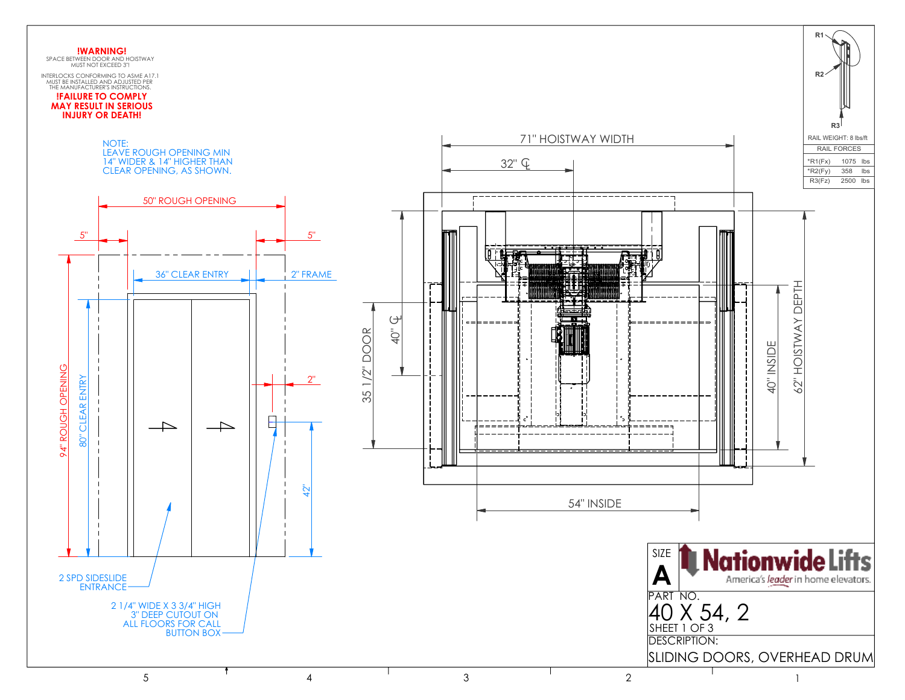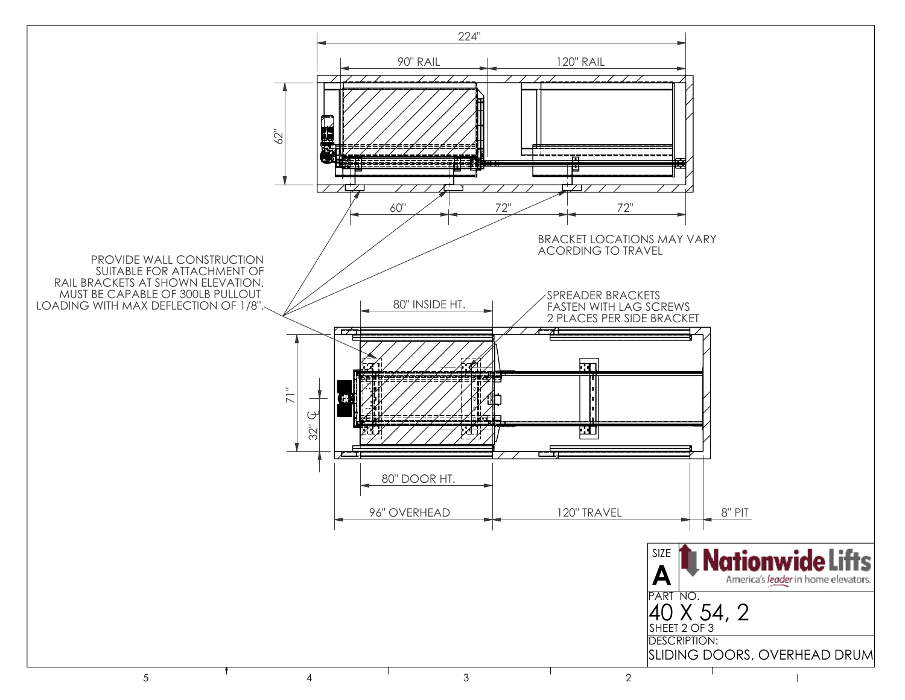